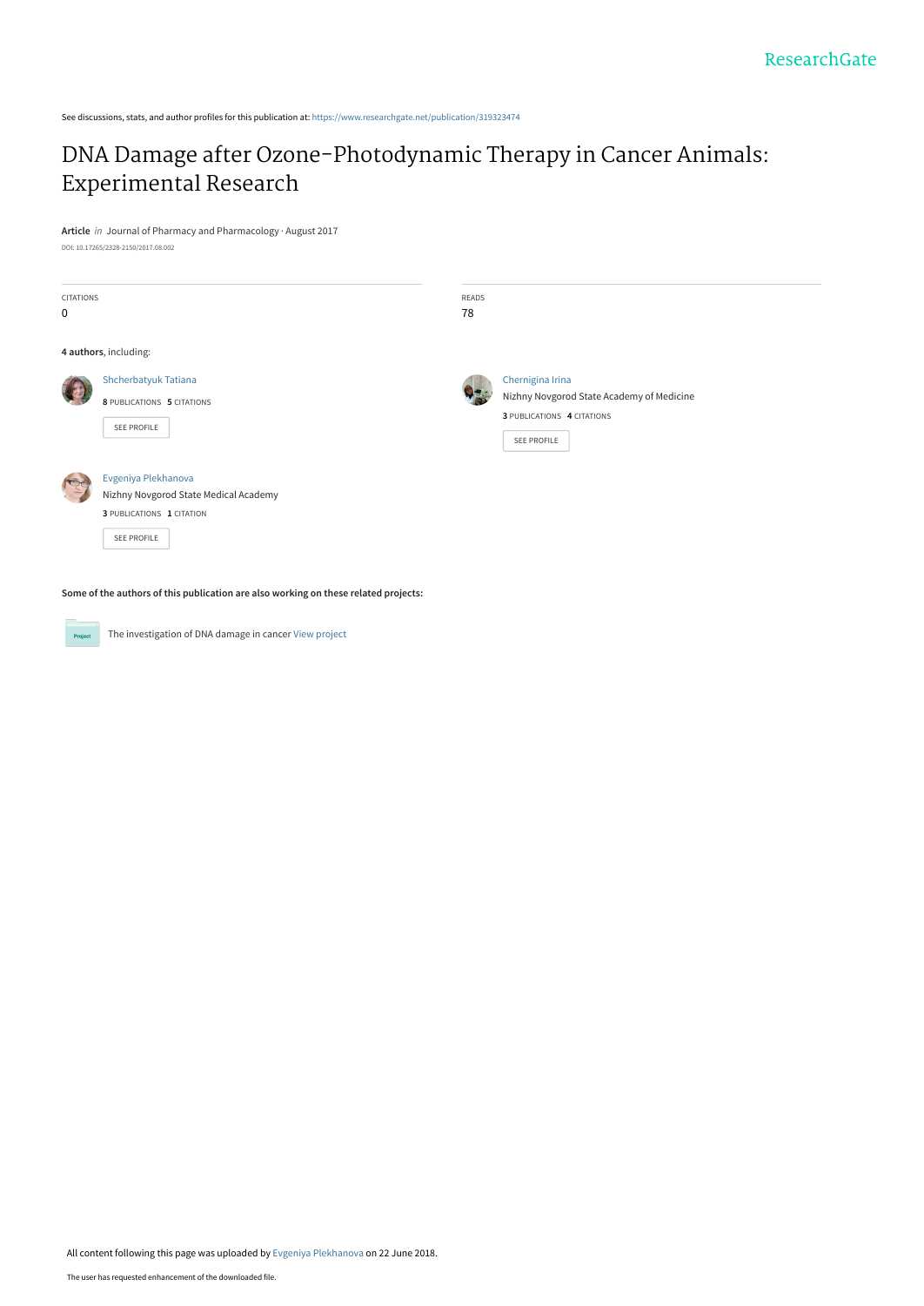See discussions, stats, and author profiles for this publication at: [https://www.researchgate.net/publication/319323474](https://www.researchgate.net/publication/319323474_DNA_Damage_after_Ozone-Photodynamic_Therapy_in_Cancer_Animals_Experimental_Research?enrichId=rgreq-73355c8f4205d6d6c46951b314ac0ae0-XXX&enrichSource=Y292ZXJQYWdlOzMxOTMyMzQ3NDtBUzo2NDA0NTY1MTM4MTg2MjZAMTUyOTcwODE0MDY1Mg%3D%3D&el=1_x_2&_esc=publicationCoverPdf)

## [DNA Damage after Ozone-Photodynamic Therapy in Cancer Animals:](https://www.researchgate.net/publication/319323474_DNA_Damage_after_Ozone-Photodynamic_Therapy_in_Cancer_Animals_Experimental_Research?enrichId=rgreq-73355c8f4205d6d6c46951b314ac0ae0-XXX&enrichSource=Y292ZXJQYWdlOzMxOTMyMzQ3NDtBUzo2NDA0NTY1MTM4MTg2MjZAMTUyOTcwODE0MDY1Mg%3D%3D&el=1_x_3&_esc=publicationCoverPdf) Experimental Research

**Article** in Journal of Pharmacy and Pharmacology · August 2017

DOI: 10.17265/2328-2150/2017.08.002

| CITATIONS<br>$\mathbf 0$ |                                                                                                                 | READS<br>78 |                                                                                                            |
|--------------------------|-----------------------------------------------------------------------------------------------------------------|-------------|------------------------------------------------------------------------------------------------------------|
|                          | 4 authors, including:                                                                                           |             |                                                                                                            |
|                          | Shcherbatyuk Tatiana<br>8 PUBLICATIONS 5 CITATIONS<br><b>SEE PROFILE</b>                                        |             | Chernigina Irina<br>Nizhny Novgorod State Academy of Medicine<br>3 PUBLICATIONS 4 CITATIONS<br>SEE PROFILE |
|                          | Evgeniya Plekhanova<br>Nizhny Novgorod State Medical Academy<br>3 PUBLICATIONS 1 CITATION<br><b>SEE PROFILE</b> |             |                                                                                                            |

**Some of the authors of this publication are also working on these related projects:**

**Project** 

The investigation of DNA damage in cancer [View project](https://www.researchgate.net/project/The-investigation-of-DNA-damage-in-cancer?enrichId=rgreq-73355c8f4205d6d6c46951b314ac0ae0-XXX&enrichSource=Y292ZXJQYWdlOzMxOTMyMzQ3NDtBUzo2NDA0NTY1MTM4MTg2MjZAMTUyOTcwODE0MDY1Mg%3D%3D&el=1_x_9&_esc=publicationCoverPdf)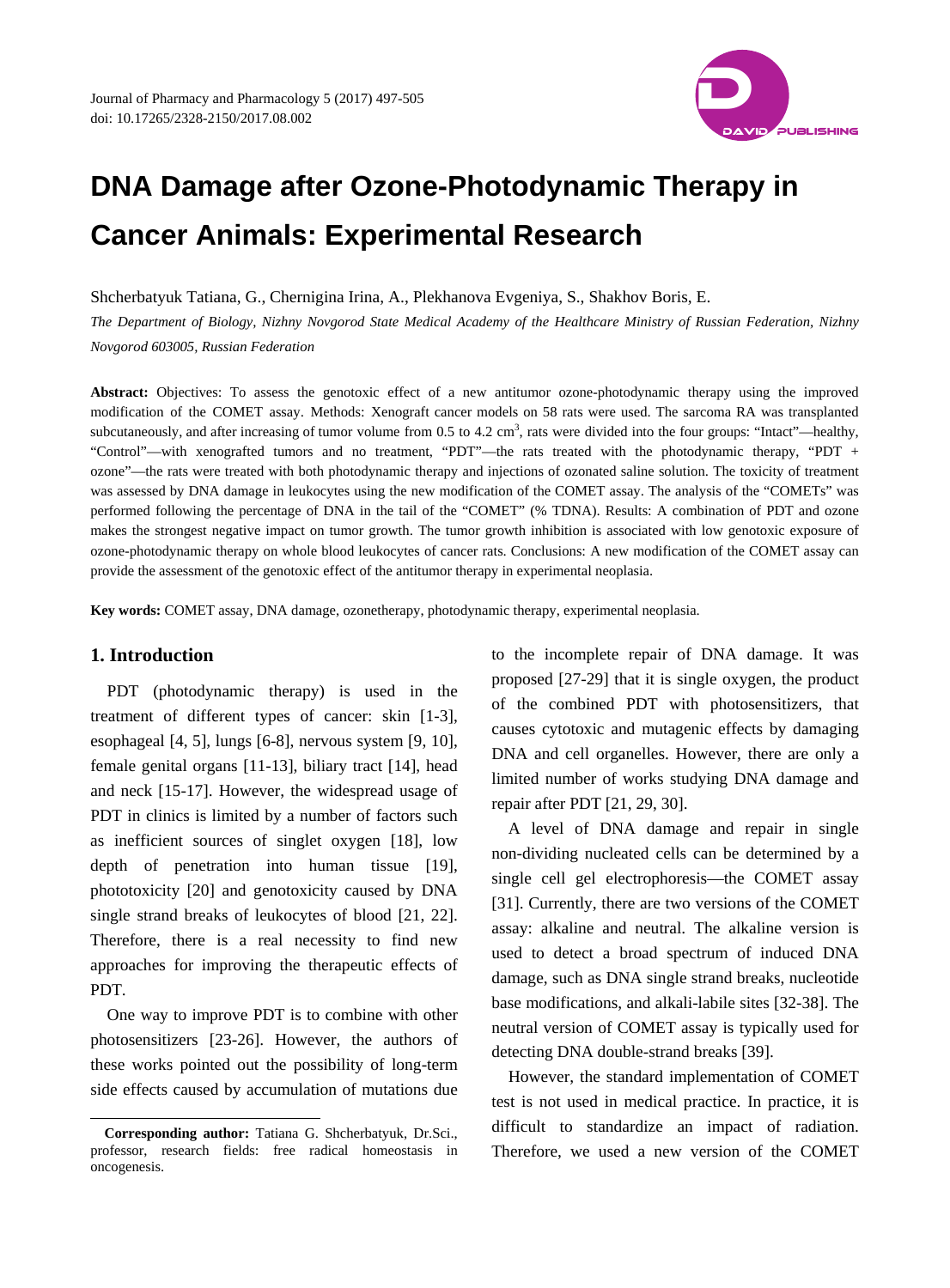

# **DNA Damage after Ozone-Photodynamic Therapy in Cancer Animals: Experimental Research**

Shcherbatyuk Tatiana, G., Chernigina Irina, A., Plekhanova Evgeniya, S., Shakhov Boris, E.

*The Department of Biology, Nizhny Novgorod State Medical Academy of the Healthcare Ministry of Russian Federation, Nizhny Novgorod 603005, Russian Federation*

Abstract: Objectives: To assess the genotoxic effect of a new antitumor ozone-photodynamic therapy using the improved modification of the COMET assay. Methods: Xenograft cancer models on 58 rats were used. The sarcoma RA was transplanted subcutaneously, and after increasing of tumor volume from  $0.5$  to  $4.2 \text{ cm}^3$ , rats were divided into the four groups: "Intact"—healthy, "Control"—with xenografted tumors and no treatment, "PDT"—the rats treated with the photodynamic therapy, "PDT + ozone"—the rats were treated with both photodynamic therapy and injections of ozonated saline solution. The toxicity of treatment was assessed by DNA damage in leukocytes using the new modification of the COMET assay. The analysis of the "COMETs" was performed following the percentage of DNA in the tail of the "COMET" (% TDNA). Results: A combination of PDT and ozone makes the strongest negative impact on tumor growth. The tumor growth inhibition is associated with low genotoxic exposure of ozone-photodynamic therapy on whole blood leukocytes of cancer rats. Conclusions: A new modification of the COMET assay can provide the assessment of the genotoxic effect of the antitumor therapy in experimental neoplasia.

**Key words:** COMET assay, DNA damage, ozonetherapy, photodynamic therapy, experimental neoplasia.

### **1. Introduction**

 $\overline{a}$ 

PDT (photodynamic therapy) is used in the treatment of different types of cancer: skin [1-3], esophageal [4, 5], lungs [6-8], nervous system [9, 10], female genital organs [11-13], biliary tract [14], head and neck [15-17]. However, the widespread usage of PDT in clinics is limited by a number of factors such as inefficient sources of singlet oxygen [18], low depth of penetration into human tissue [19], phototoxicity [20] and genotoxicity caused by DNA single strand breaks of leukocytes of blood [21, 22]. Therefore, there is a real necessity to find new approaches for improving the therapeutic effects of PDT.

One way to improve PDT is to combine with other photosensitizers [23-26]. However, the authors of these works pointed out the possibility of long-term side effects caused by accumulation of mutations due

to the incomplete repair of DNA damage. It was proposed [27-29] that it is single oxygen, the product of the combined PDT with photosensitizers, that causes cytotoxic and mutagenic effects by damaging DNA and cell organelles. However, there are only a limited number of works studying DNA damage and repair after PDT [21, 29, 30].

A level of DNA damage and repair in single non-dividing nucleated cells can be determined by a single cell gel electrophoresis—the COMET assay [31]. Currently, there are two versions of the COMET assay: alkaline and neutral. The alkaline version is used to detect a broad spectrum of induced DNA damage, such as DNA single strand breaks, nucleotide base modifications, and alkali-labile sites [32-38]. The neutral version of COMET assay is typically used for detecting DNA double-strand breaks [39].

However, the standard implementation of COMET test is not used in medical practice. In practice, it is difficult to standardize an impact of radiation. Therefore, we used a new version of the COMET

<span id="page-1-0"></span>**Corresponding author:** Tatiana G. Shcherbatyuk, Dr.Sci., professor, research fields: free radical homeostasis in oncogenesis.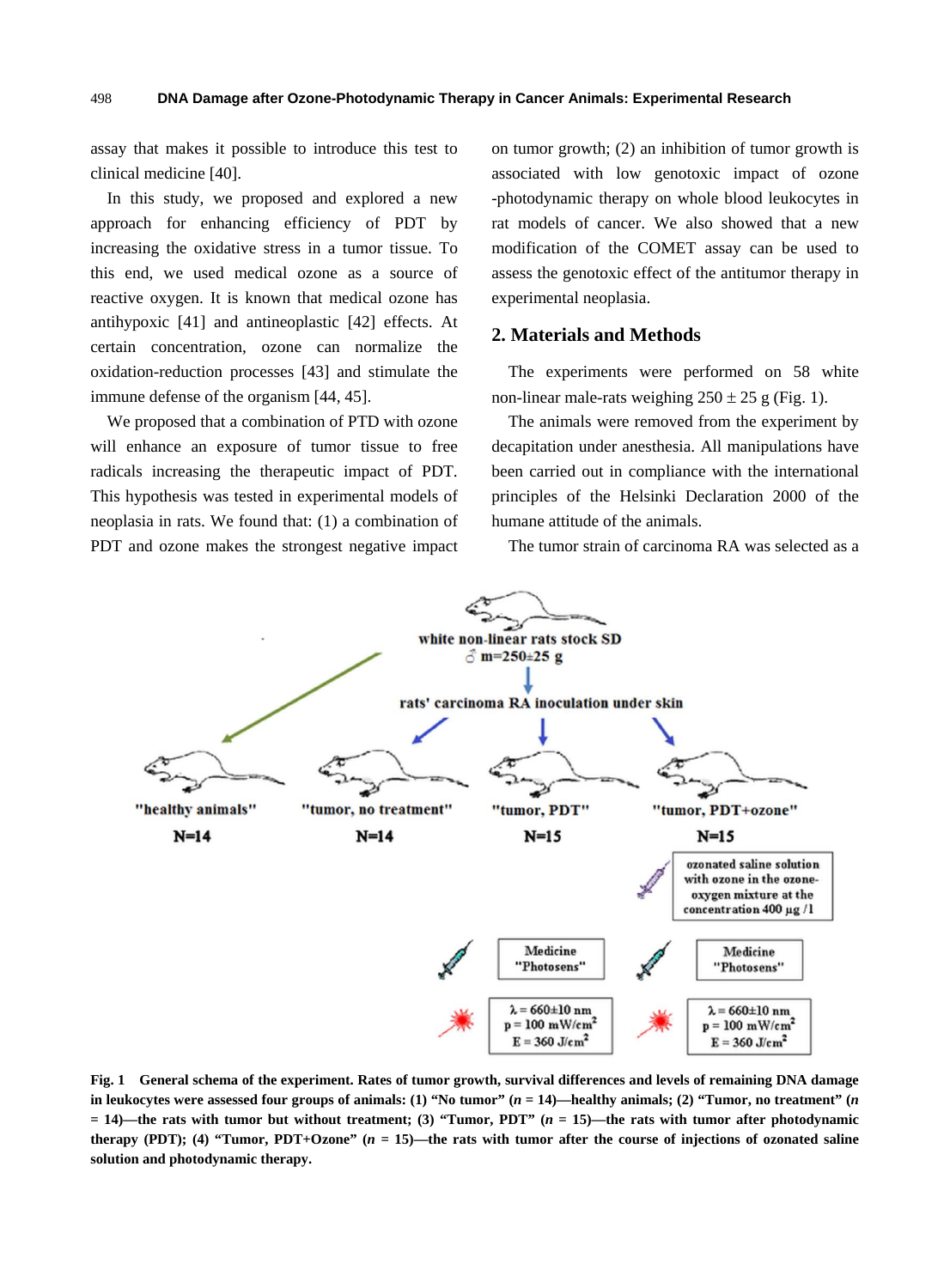assay that makes it possible to introduce this test to clinical medicine [40].

In this study, we proposed and explored a new approach for enhancing efficiency of PDT by increasing the oxidative stress in a tumor tissue. To this end, we used medical ozone as a source of reactive oxygen. It is known that medical ozone has antihypoxic [41] and antineoplastic [42] effects. At certain concentration, ozone can normalize the oxidation-reduction processes [43] and stimulate the immune defense of the organism [44, 45].

We proposed that a combination of PTD with ozone will enhance an exposure of tumor tissue to free radicals increasing the therapeutic impact of PDT. This hypothesis was tested in experimental models of neoplasia in rats. We found that: (1) a combination of PDT and ozone makes the strongest negative impact on tumor growth; (2) an inhibition of tumor growth is associated with low genotoxic impact of ozone -photodynamic therapy on whole blood leukocytes in rat models of cancer. We also showed that a new modification of the COMET assay can be used to assess the genotoxic effect of the antitumor therapy in experimental neoplasia.

#### **2. Materials and Methods**

The experiments were performed on 58 white non-linear male-rats weighing  $250 \pm 25$  g (Fig. 1).

The animals were removed from the experiment by decapitation under anesthesia. All manipulations have been carried out in compliance with the international principles of the Helsinki Declaration 2000 of the humane attitude of the animals.

The tumor strain of carcinoma RA was selected as a



**Fig. 1 General schema of the experiment. Rates of tumor growth, survival differences and levels of remaining DNA damage in leukocytes were assessed four groups of animals: (1) "No tumor" (***n* **= 14)—healthy animals; (2) "Tumor, no treatment" (***n* **= 14)—the rats with tumor but without treatment; (3) "Tumor, PDT" (***n* **= 15)—the rats with tumor after photodynamic therapy (PDT); (4) "Tumor, PDT+Ozone"**  $(n = 15)$ **—the rats with tumor after the course of injections of ozonated saline solution and photodynamic therapy.**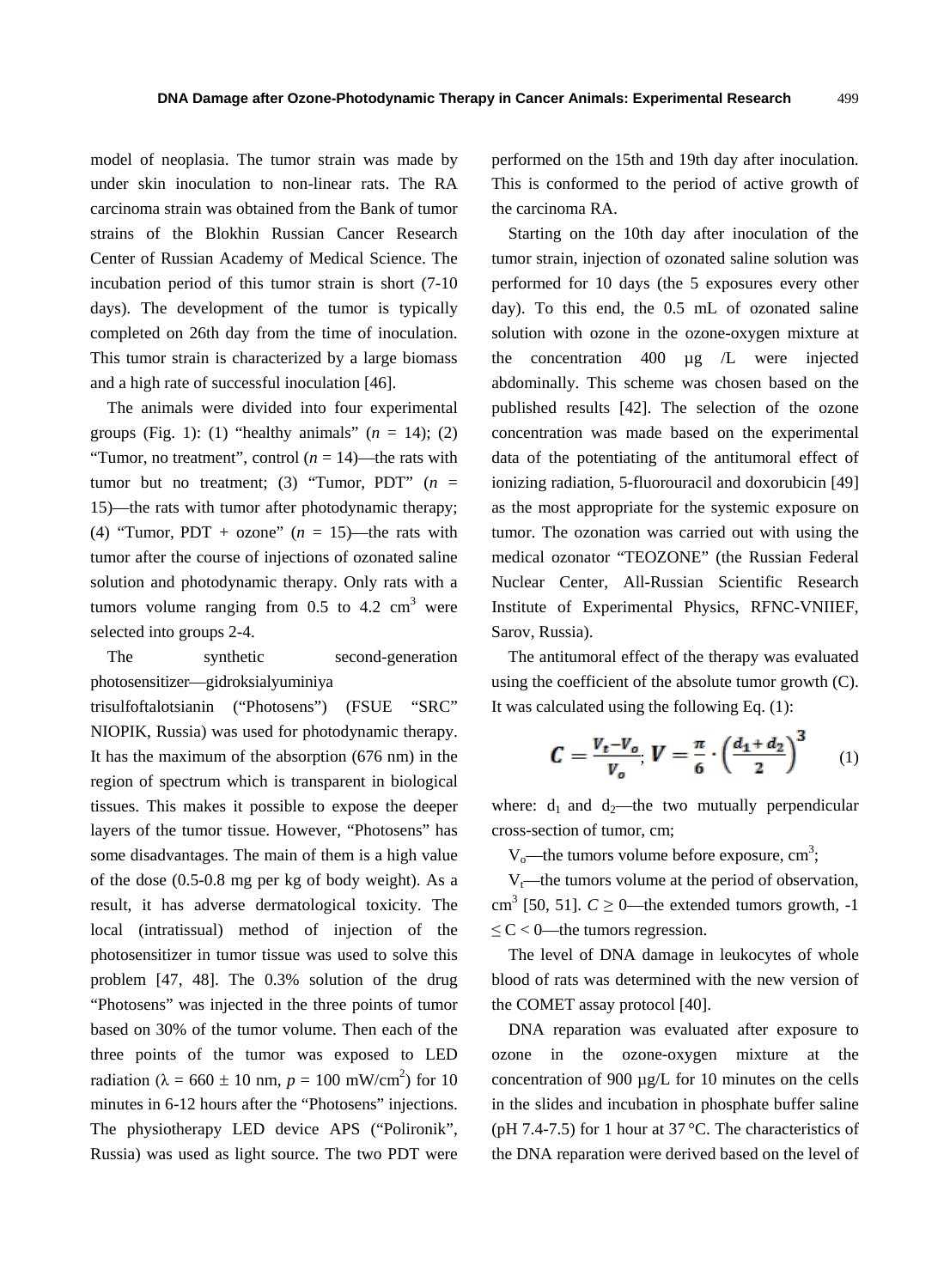model of neoplasia. The tumor strain was made by under skin inoculation to non-linear rats. The RA carcinoma strain was obtained from the Bank of tumor strains of the Blokhin Russian Cancer Research Center of Russian Academy of Medical Science. The incubation period of this tumor strain is short (7-10 days). The development of the tumor is typically completed on 26th day from the time of inoculation. This tumor strain is characterized by a large biomass and a high rate of successful inoculation [46].

The animals were divided into four experimental groups (Fig. 1): (1) "healthy animals"  $(n = 14)$ ; (2) "Tumor, no treatment", control  $(n = 14)$ —the rats with tumor but no treatment; (3) "Tumor, PDT" (*n* = 15)—the rats with tumor after photodynamic therapy; (4) "Tumor, PDT + ozone"  $(n = 15)$ —the rats with tumor after the course of injections of ozonated saline solution and photodynamic therapy. Only rats with a tumors volume ranging from 0.5 to 4.2  $\text{cm}^3$  were selected into groups 2-4.

The synthetic second-generation photosensitizer—gidroksialyuminiya

trisulfoftalotsianin ("Photosens") (FSUE "SRC" NIOPIK, Russia) was used for photodynamic therapy. It has the maximum of the absorption (676 nm) in the region of spectrum which is transparent in biological tissues. This makes it possible to expose the deeper layers of the tumor tissue. However, "Photosens" has some disadvantages. The main of them is a high value of the dose (0.5-0.8 mg per kg of body weight). As a result, it has adverse dermatological toxicity. The local (intratissual) method of injection of the photosensitizer in tumor tissue was used to solve this problem [47, 48]. The 0.3% solution of the drug "Photosens" was injected in the three points of tumor based on 30% of the tumor volume. Then each of the three points of the tumor was exposed to LED radiation ( $\lambda = 660 \pm 10$  nm,  $p = 100$  mW/cm<sup>2</sup>) for 10 minutes in 6-12 hours after the "Photosens" injections. The physiotherapy LED device APS ("Polironik", Russia) was used as light source. The two PDT were

performed on the 15th and 19th day after inoculation. This is conformed to the period of active growth of the carcinoma RA.

Starting on the 10th day after inoculation of the tumor strain, injection of ozonated saline solution was performed for 10 days (the 5 exposures every other day). To this end, the 0.5 mL of ozonated saline solution with ozone in the ozone-oxygen mixture at the concentration 400 µg /L were injected abdominally. This scheme was chosen based on the published results [42]. The selection of the ozone concentration was made based on the experimental data of the potentiating of the antitumoral effect of ionizing radiation, 5-fluorouracil and doxorubicin [49] as the most appropriate for the systemic exposure on tumor. The ozonation was carried out with using the medical ozonator "TEOZONE" (the Russian Federal Nuclear Center, All-Russian Scientific Research Institute of Experimental Physics, RFNC-VNIIEF, Sarov, Russia).

The antitumoral effect of the therapy was evaluated using the coefficient of the absolute tumor growth (C). It was calculated using the following Eq. (1):

$$
C = \frac{V_t - V_o}{V_o}, V = \frac{\pi}{6} \cdot \left(\frac{d_1 + d_2}{2}\right)^3 \tag{1}
$$

where:  $d_1$  and  $d_2$ —the two mutually perpendicular cross-section of tumor, cm;

 $V_0$ —the tumors volume before exposure, cm<sup>3</sup>;

 $V_t$ —the tumors volume at the period of observation, cm<sup>3</sup> [50, 51].  $C \ge 0$ —the extended tumors growth, -1  $\leq C < 0$ —the tumors regression.

The level of DNA damage in leukocytes of whole blood of rats was determined with the new version of the COMET assay protocol [40].

DNA reparation was evaluated after exposure to ozone in the ozone-oxygen mixture at the concentration of 900 µg/L for 10 minutes on the cells in the slides and incubation in phosphate buffer saline (pH 7.4-7.5) for 1 hour at 37  $^{\circ}$ C. The characteristics of the DNA reparation were derived based on the level of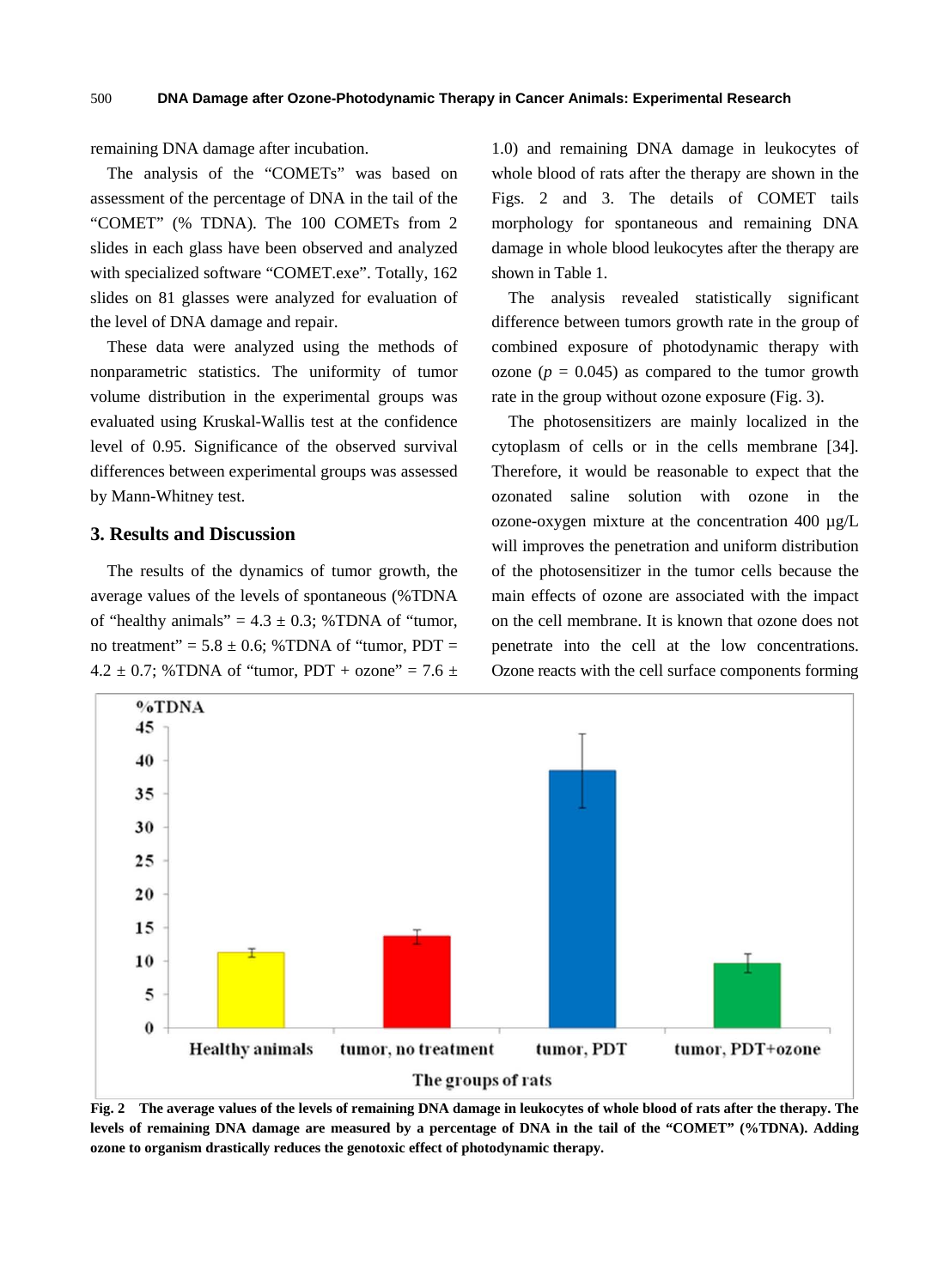remaining DNA damage after incubation.

The analysis of the "COMETs" was based on assessment of the percentage of DNA in the tail of the "COMET" (% TDNA). The 100 COMETs from 2 slides in each glass have been observed and analyzed with specialized software "COMET.exe". Totally, 162 slides on 81 glasses were analyzed for evaluation of the level of DNA damage and repair.

These data were analyzed using the methods of nonparametric statistics. The uniformity of tumor volume distribution in the experimental groups was evaluated using Kruskal-Wallis test at the confidence level of 0.95. Significance of the observed survival differences between experimental groups was assessed by Mann-Whitney test.

#### **3. Results and Discussion**

The results of the dynamics of tumor growth, the average values of the levels of spontaneous (%TDNA of "healthy animals" =  $4.3 \pm 0.3$ ; %TDNA of "tumor, no treatment" =  $5.8 \pm 0.6$ ; %TDNA of "tumor, PDT = 4.2  $\pm$  0.7; %TDNA of "tumor, PDT + ozone" = 7.6  $\pm$  1.0) and remaining DNA damage in leukocytes of whole blood of rats after the therapy are shown in the Figs. 2 and 3. The details of COMET tails morphology for spontaneous and remaining DNA damage in whole blood leukocytes after the therapy are shown in Table 1.

The analysis revealed statistically significant difference between tumors growth rate in the group of combined exposure of photodynamic therapy with ozone ( $p = 0.045$ ) as compared to the tumor growth rate in the group without ozone exposure (Fig. 3).

The photosensitizers are mainly localized in the cytoplasm of cells or in the cells membrane [34]. Therefore, it would be reasonable to expect that the ozonated saline solution with ozone in the ozone-oxygen mixture at the concentration 400 µg/L will improves the penetration and uniform distribution of the photosensitizer in the tumor cells because the main effects of ozone are associated with the impact on the cell membrane. It is known that ozone does not penetrate into the cell at the low concentrations. Ozone reacts with the cell surface components forming



**Fig. 2 The average values of the levels of remaining DNA damage in leukocytes of whole blood of rats after the therapy. The levels of remaining DNA damage are measured by a percentage of DNA in the tail of the "COMET" (%TDNA). Adding ozone to organism drastically reduces the genotoxic effect of photodynamic therapy.**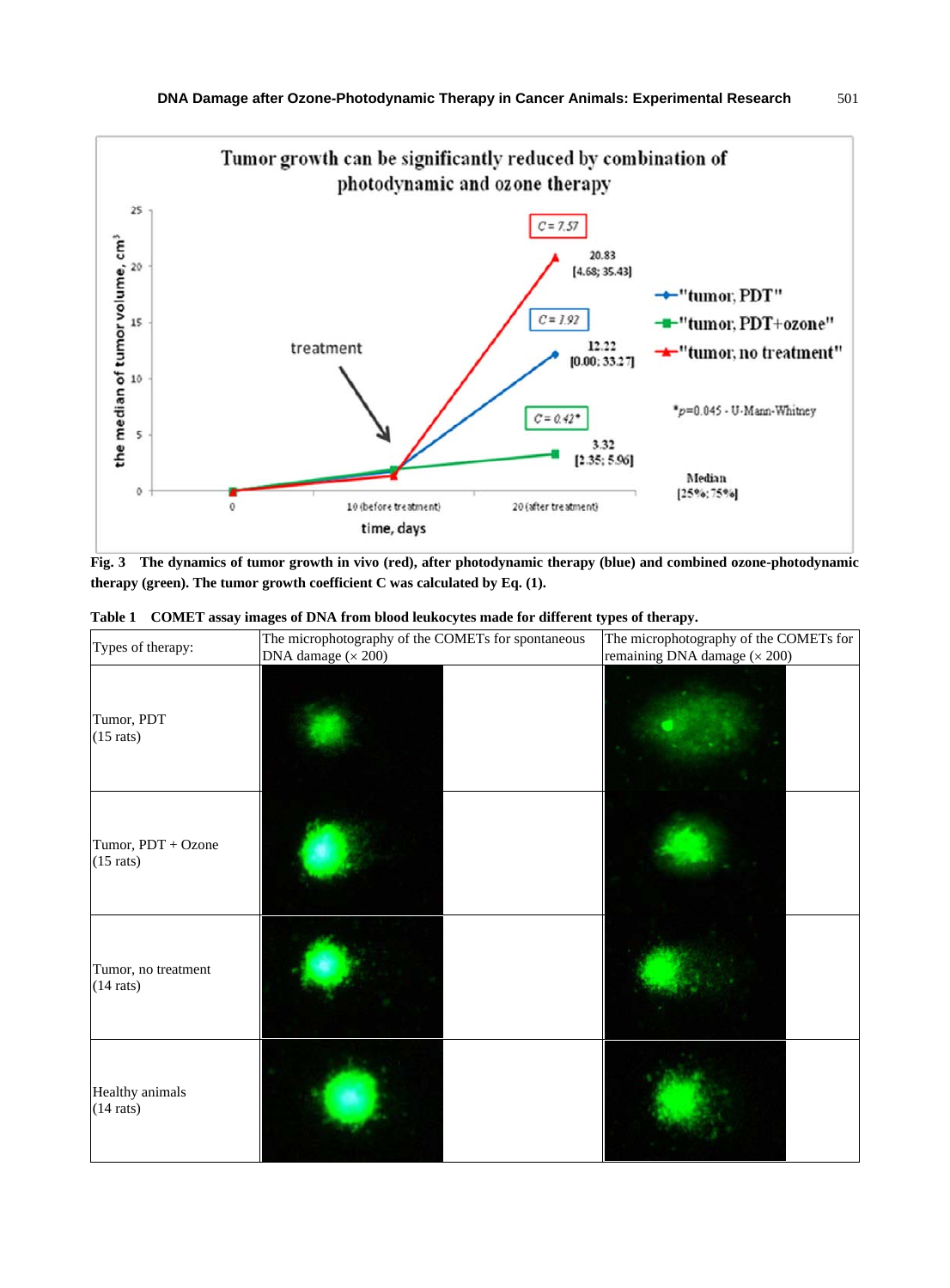

**Fig. 3 The dynamics of tumor growth in vivo (red), after photodynamic therapy (blue) and combined ozone-photodynamic therapy (green). The tumor growth coefficient C was calculated by Eq. (1).** 

| Types of therapy:                          | The microphotography of the COMETs for spontaneous<br>DNA damage $(\times 200)$ | The microphotography of the COMETs for<br>remaining DNA damage (× 200) |
|--------------------------------------------|---------------------------------------------------------------------------------|------------------------------------------------------------------------|
| Tumor, PDT<br>$(15$ rats)                  |                                                                                 |                                                                        |
| Tumor, PDT + Ozone<br>$(15 \text{ rats})$  |                                                                                 |                                                                        |
| Tumor, no treatment<br>$(14 \text{ rats})$ |                                                                                 |                                                                        |
| Healthy animals<br>$(14 \text{ rats})$     |                                                                                 |                                                                        |

|  |  |  |  |  |  | Table 1 COMET assay images of DNA from blood leukocytes made for different types of therapy. |  |
|--|--|--|--|--|--|----------------------------------------------------------------------------------------------|--|
|--|--|--|--|--|--|----------------------------------------------------------------------------------------------|--|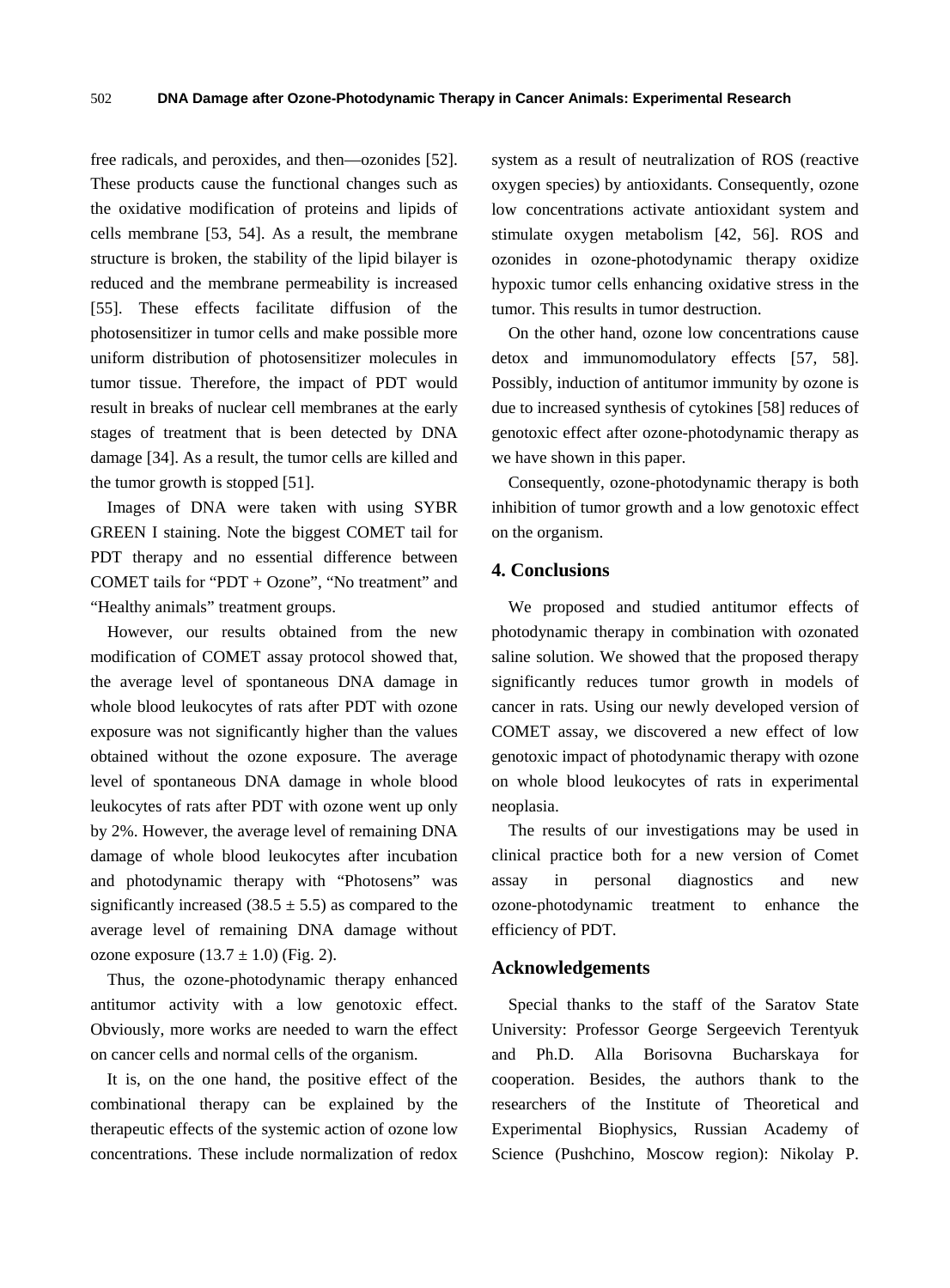free radicals, and peroxides, and then—ozonides [52]. These products cause the functional changes such as the oxidative modification of proteins and lipids of cells membrane [53, 54]. As a result, the membrane structure is broken, the stability of the lipid bilayer is reduced and the membrane permeability is increased [55]. These effects facilitate diffusion of the photosensitizer in tumor cells and make possible more uniform distribution of photosensitizer molecules in tumor tissue. Therefore, the impact of PDT would result in breaks of nuclear cell membranes at the early stages of treatment that is been detected by DNA damage [34]. As a result, the tumor cells are killed and the tumor growth is stopped [51].

Images of DNA were taken with using SYBR GREEN I staining. Note the biggest COMET tail for PDT therapy and no essential difference between COMET tails for "PDT + Ozone", "No treatment" and "Healthy animals" treatment groups.

However, our results obtained from the new modification of COMET assay protocol showed that, the average level of spontaneous DNA damage in whole blood leukocytes of rats after PDT with ozone exposure was not significantly higher than the values obtained without the ozone exposure. The average level of spontaneous DNA damage in whole blood leukocytes of rats after PDT with ozone went up only by 2%. However, the average level of remaining DNA damage of whole blood leukocytes after incubation and photodynamic therapy with "Photosens" was significantly increased (38.5  $\pm$  5.5) as compared to the average level of remaining DNA damage without ozone exposure  $(13.7 \pm 1.0)$  (Fig. 2).

Thus, the ozone-photodynamic therapy enhanced antitumor activity with a low genotoxic effect. Obviously, more works are needed to warn the effect on cancer cells and normal cells of the organism.

It is, on the one hand, the positive effect of the combinational therapy can be explained by the therapeutic effects of the systemic action of ozone low concentrations. These include normalization of redox system as a result of neutralization of ROS (reactive oxygen species) by antioxidants. Consequently, ozone low concentrations activate antioxidant system and stimulate oxygen metabolism [42, 56]. ROS and ozonides in ozone-photodynamic therapy oxidize hypoxic tumor cells enhancing oxidative stress in the tumor. This results in tumor destruction.

On the other hand, ozone low concentrations cause detox and immunomodulatory effects [57, 58]. Possibly, induction of antitumor immunity by ozone is due to increased synthesis of cytokines [58] reduces of genotoxic effect after ozone-photodynamic therapy as we have shown in this paper.

Consequently, ozone-photodynamic therapy is both inhibition of tumor growth and a low genotoxic effect on the organism.

#### **4. Conclusions**

We proposed and studied antitumor effects of photodynamic therapy in combination with ozonated saline solution. We showed that the proposed therapy significantly reduces tumor growth in models of cancer in rats. Using our newly developed version of COMET assay, we discovered a new effect of low genotoxic impact of photodynamic therapy with ozone on whole blood leukocytes of rats in experimental neoplasia.

The results of our investigations may be used in clinical practice both for a new version of Comet assay in personal diagnostics and new ozone-photodynamic treatment to enhance the efficiency of PDT.

#### **Acknowledgements**

Special thanks to the staff of the Saratov State University: Professor George Sergeevich Terentyuk and Ph.D. Alla Borisovna Bucharskaya for cooperation. Besides, the authors thank to the researchers of the Institute of Theoretical and Experimental Biophysics, Russian Academy of Science (Pushchino, Moscow region): Nikolay P.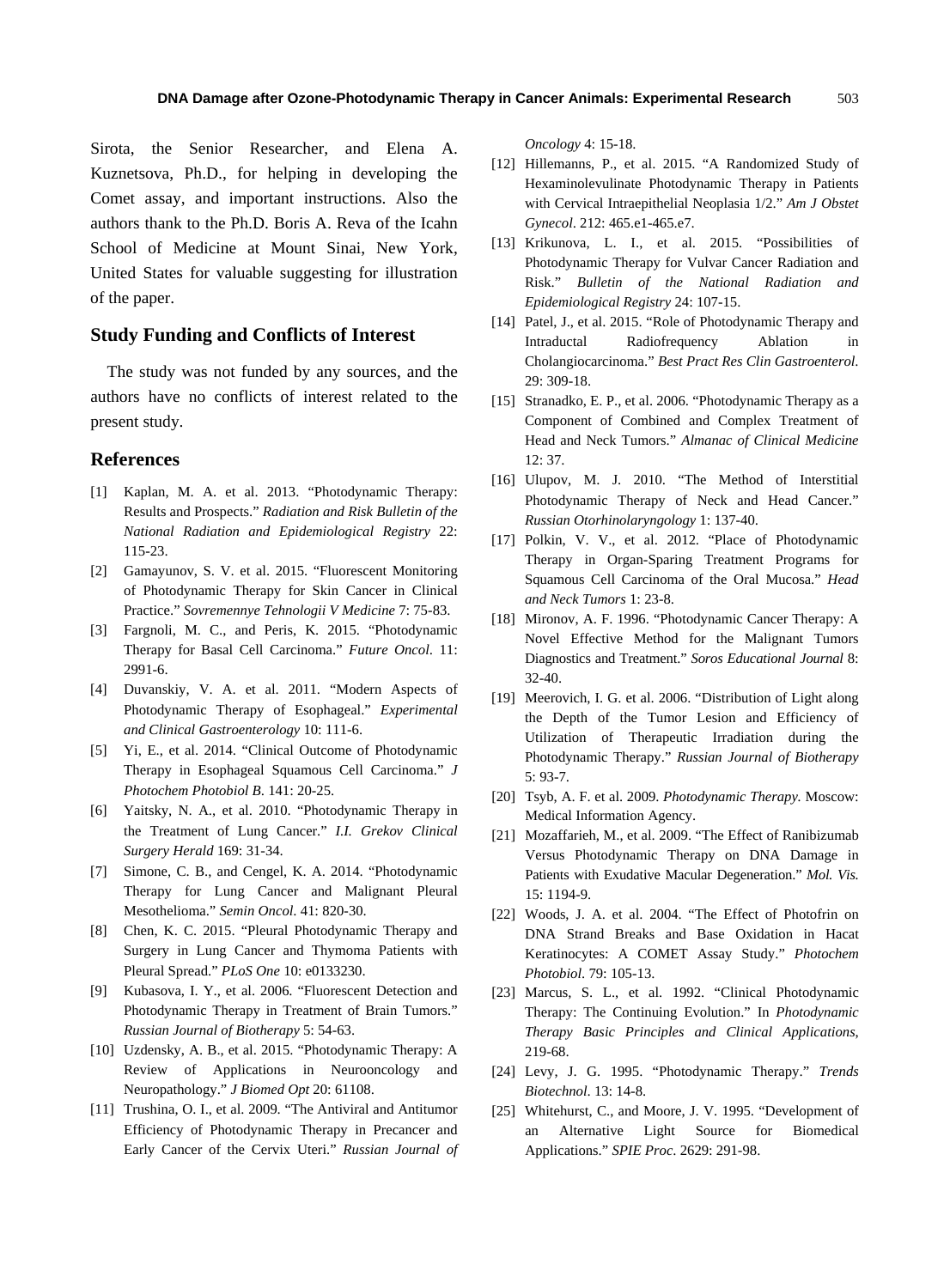Sirota, the Senior Researcher, and Elena A. Kuznetsova, Ph.D., for helping in developing the Comet assay, and important instructions. Also the authors thank to the Ph.D. Boris A. Reva of the Icahn School of Medicine at Mount Sinai, New York, United States for valuable suggesting for illustration of the paper.

#### **Study Funding and Conflicts of Interest**

The study was not funded by any sources, and the authors have no conflicts of interest related to the present study.

#### **References**

- [1] Kaplan, M. A. et al. 2013. "Photodynamic Therapy: Results and Prospects." *Radiation and Risk Bulletin of the National Radiation and Epidemiological Registry* 22: 115-23.
- [2] Gamayunov, S. V. et al. 2015. "Fluorescent Monitoring of Photodynamic Therapy for Skin Cancer in Clinical Practice." *Sovremennye Tehnologii V Medicine* 7: 75-83.
- [3] Fargnoli, M. C., and [Peris, K.](http://www.ncbi.nlm.nih.gov/pubmed/?term=Peris%20K%5BAuthor%5D&cauthor=true&cauthor_uid=26550910) 2015. "Photodynamic Therapy for Basal Cell Carcinoma." *Future Oncol*. 11: 2991-6.
- [4] Duvanskiy, V. A. et al. 2011. "Modern Aspects of Photodynamic Therapy of Esophageal." *Experimental and Clinical Gastroenterology* 10: 111-6.
- [5] Yi, E., et al. 2014. "Clinical Outcome of Photodynamic Therapy in Esophageal Squamous Cell Carcinoma." *J Photochem Photobiol B*. 141: 20-25.
- [6] Yaitsky, N. A., et al. 2010. "Photodynamic Therapy in the Treatment of Lung Cancer." *I.I. Grekov Clinical Surgery Herald* 169: 31-34.
- [7] Simone, C. B., and Cengel, K. A. 2014. "Photodynamic Therapy for Lung Cancer and Malignant Pleural Mesothelioma." *Semin Oncol*. 41: 820-30.
- [8] Chen, K. C. 2015. "Pleural Photodynamic Therapy and Surgery in Lung Cancer and Thymoma Patients with Pleural Spread." *PLoS One* 10: e0133230.
- [9] Kubasova, I. Y., et al. 2006. "Fluorescent Detection and Photodynamic Therapy in Treatment of Brain Tumors." *Russian Journal of Biotherapy* 5: 54-63.
- [10] [Uzdensky, A.](http://www.ncbi.nlm.nih.gov/pubmed/?term=Uzdensky%20AB%5BAuthor%5D&cauthor=true&cauthor_uid=25853368) B., et al. 2015. "Photodynamic Therapy: A Review of Applications in Neurooncology and Neuropathology." *J Biomed Opt* 20: 61108.
- [11] Trushina, O. I., et al. 2009. "The Antiviral and Antitumor Efficiency of Photodynamic Therapy in Precancer and Early Cancer of the Cervix Uteri." *Russian Journal of*

*Oncology* 4: 15-18.

- [12] Hillemanns, P., et al. 2015. "A Randomized Study of Hexaminolevulinate Photodynamic Therapy in Patients with Cervical Intraepithelial Neoplasia 1/2." *Am J Obstet Gynecol*. 212: 465.e1-465.e7.
- [13] Krikunova, L. I., et al. 2015. "Possibilities of Photodynamic Therapy for Vulvar Cancer Radiation and Risk." *Bulletin of the National Radiation and Epidemiological Registry* 24: 107-15.
- [14] Patel, J., et al. 2015. "Role of Photodynamic Therapy and Intraductal Radiofrequency Ablation in Cholangiocarcinoma." *Best Pract Res Clin Gastroenterol*. 29: 309-18.
- [15] Stranadko, E. P., et al. 2006. "Photodynamic Therapy as a Component of Combined and Complex Treatment of Head and Neck Tumors." *Almanac of Clinical Medicine*  12: 37.
- [16] Ulupov, M. J. 2010. "The Method of Interstitial Photodynamic Therapy of Neck and Head Cancer." *Russian Otorhinolaryngology* 1: 137-40.
- [17] Polkin, V. V., et al. 2012. "Place of Photodynamic Therapy in Organ-Sparing Treatment Programs for Squamous Cell Carcinoma of the Oral Mucosa." *Head and Neck Tumors* 1: 23-8.
- [18] Mironov, A. F. 1996. "Photodynamic Cancer Therapy: A Novel Effective Method for the Malignant Tumors Diagnostics and Treatment." *Soros Educational Journal* 8: 32-40.
- [19] Meerovich, I. G. et al. 2006. "Distribution of Light along the Depth of the Tumor Lesion and Efficiency of Utilization of Therapeutic Irradiation during the Photodynamic Therapy." *Russian Journal of Biotherapy* 5: 93-7.
- [20] Tsyb, A. F. et al. 2009. *Photodynamic Therapy.* Moscow: Medical Information Agency.
- [21] Mozaffarieh, M., et al. 2009. "The Effect of Ranibizumab Versus Photodynamic Therapy on DNA Damage in Patients with Exudative Macular Degeneration." *Mol. Vis.*  15: 1194-9.
- [22] Woods, J. A. et al. 2004. "The Effect of Photofrin on DNA Strand Breaks and Base Oxidation in Hacat Keratinocytes: A COMET Assay Study." *Photochem Photobiol*. 79: 105-13.
- [23] Marcus, S. L., et al. 1992. "Clinical Photodynamic Therapy: The Continuing Evolution." In *Photodynamic Therapy Basic Principles and Clinical Applications*, 219-68.
- [24] Levy, J. G. 1995. "Photodynamic Therapy." *Trends Biotechnol*. 13: 14-8.
- [25] Whitehurst, C., and Moore, J. V. 1995. "Development of an Alternative Light Source for Biomedical Applications." *SPIE Proc*. 2629: 291-98.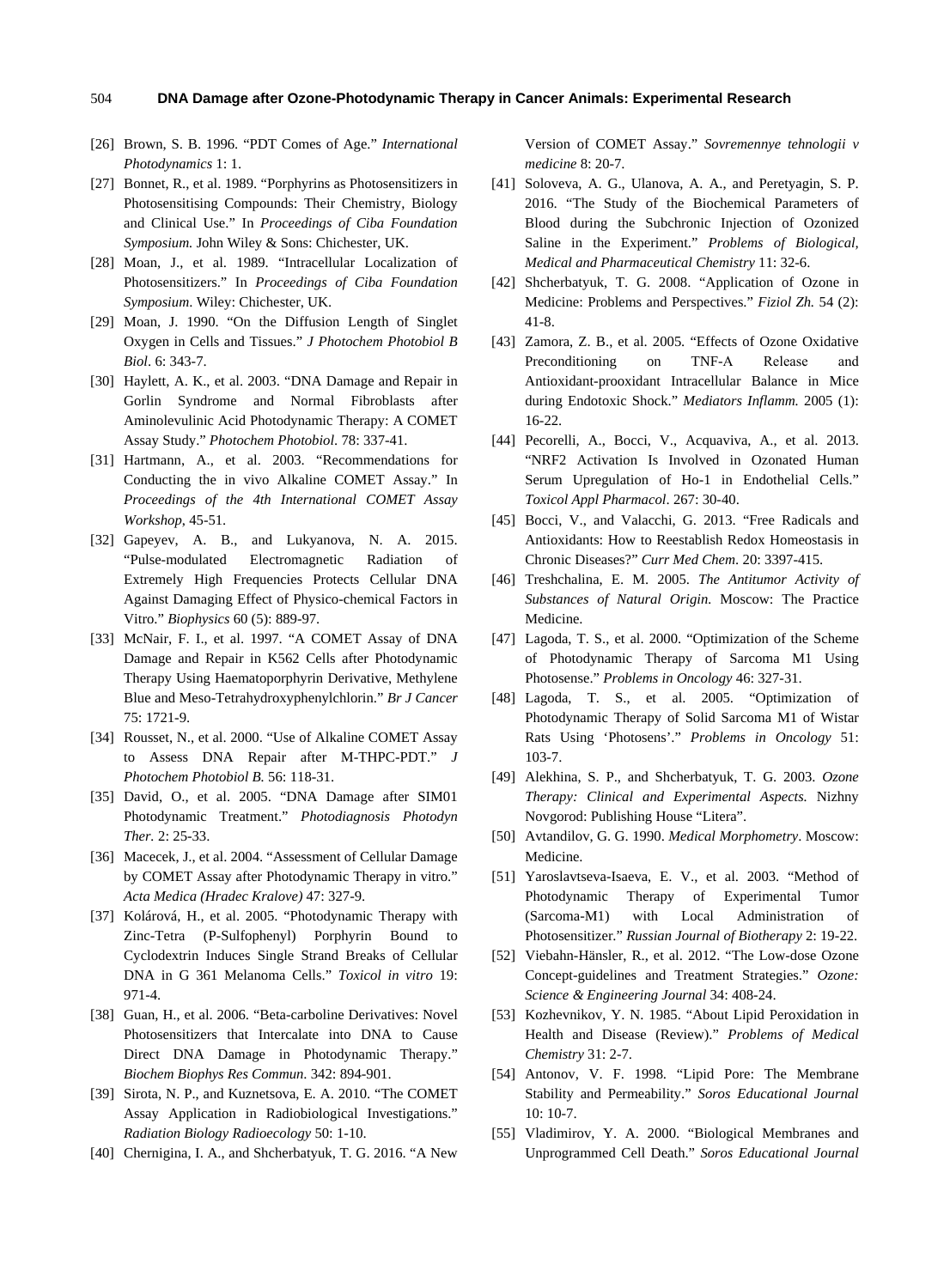#### **DNA Damage after Ozone-Photodynamic Therapy in Cancer Animals: Experimental Research** 504

- [26] Brown, S. B. 1996. "PDT Comes of Age." *International Photodynamics* 1: 1.
- [27] Bonnet, R., et al. 1989. "Porphyrins as Photosensitizers in Photosensitising Compounds: Their Chemistry, Biology and Clinical Use." In *Proceedings of Ciba Foundation Symposium.* John Wiley & Sons: Chichester, UK.
- [28] Moan, J., et al. 1989. "Intracellular Localization of Photosensitizers." In *Proceedings of Ciba Foundation Symposium*. Wiley: Chichester, UK.
- [29] Moan, J. 1990. "On the Diffusion Length of Singlet Oxygen in Cells and Tissues." *J Photochem Photobiol B Biol*. 6: 343-7.
- [30] Haylett, A. K., et al. 2003. "DNA Damage and Repair in Gorlin Syndrome and Normal Fibroblasts after Aminolevulinic Acid Photodynamic Therapy: A COMET Assay Study." *Photochem Photobiol*. 78: 337-41.
- [31] Hartmann, A., et al. 2003. "Recommendations for Conducting the in vivo Alkaline COMET Assay." In *Proceedings of the 4th International COMET Assay Workshop*, 45-51.
- [32] Gapeyev, A. B., and Lukyanova, N. A. 2015. "Pulse-modulated Electromagnetic Radiation of Extremely High Frequencies Protects Cellular DNA Against Damaging Effect of Physico-chemical Factors in Vitro." *Biophysics* 60 (5): 889-97.
- [33] McNair, F. I., et al. 1997. "A COMET Assay of DNA Damage and Repair in K562 Cells after Photodynamic Therapy Using Haematoporphyrin Derivative, Methylene Blue and Meso-Tetrahydroxyphenylchlorin." *Br J Cancer* 75: 1721-9.
- [34] Rousset, N., et al. 2000. "Use of Alkaline COMET Assay to Assess DNA Repair after M-THPC-PDT." *J Photochem Photobiol B.* 56: 118-31.
- [35] David, O., et al. 2005. "DNA Damage after SIM01 Photodynamic Treatment." *Photodiagnosis Photodyn Ther.* 2: 25-33.
- [36] Macecek, J., et al. 2004. "Assessment of Cellular Damage by COMET Assay after Photodynamic Therapy in vitro." *Acta Medica (Hradec Kralove)* 47: 327-9.
- [37] Kolárová, H., et al. 2005. "Photodynamic Therapy with Zinc-Tetra (P-Sulfophenyl) Porphyrin Bound to Cyclodextrin Induces Single Strand Breaks of Cellular DNA in G 361 Melanoma Cells." *Toxicol in vitro* 19: 971-4.
- [38] Guan, H., et al. 2006. "Beta-carboline Derivatives: Novel Photosensitizers that Intercalate into DNA to Cause Direct DNA Damage in Photodynamic Therapy." *Biochem Biophys Res Commun*. 342: 894-901.
- [39] Sirota, N. P., and Kuznetsova, E. A. 2010. "The COMET Assay Application in Radiobiological Investigations." *Radiation Biology Radioecology* 50: 1-10.
- [40] Chernigina, I. A., and Shcherbatyuk, T. G. 2016. "A New

Version of COMET Assay." *Sovremennye tehnologii v medicine* 8: 20-7.

- [41] Soloveva, A. G., Ulanova, A. A., and Peretyagin, S. P. 2016. "The Study of the Biochemical Parameters of Blood during the Subchronic Injection of Ozonized Saline in the Experiment." *Problems of Biological, Medical and Pharmaceutical Chemistry* 11: 32-6.
- [42] Shcherbatyuk, T. G. 2008. "Application of Ozone in Medicine: Problems and Perspectives." *Fiziol Zh.* 54 (2): 41-8.
- [43] Zamora, Z. B., et al. 2005. "Effects of Ozone Oxidative Preconditioning on TNF-A Release and Antioxidant-prooxidant Intracellular Balance in Mice during Endotoxic Shock." *Mediators Inflamm.* 2005 (1): 16-22.
- [44] Pecorelli, A., Bocci, V., Acquaviva, A., et al. 2013. "NRF2 Activation Is Involved in Ozonated Human Serum Upregulation of Ho-1 in Endothelial Cells." *Toxicol Appl Pharmacol*. 267: 30-40.
- [45] Bocci, V., and Valacchi, G. 2013. "Free Radicals and Antioxidants: How to Reestablish Redox Homeostasis in Chronic Diseases?" *Curr Med Chem*. 20: 3397-415.
- [46] Treshchalina, E. M. 2005. *The Antitumor Activity of Substances of Natural Origin.* Moscow: The Practice Medicine.
- [47] Lagoda, T. S., et al. 2000. "Optimization of the Scheme of Photodynamic Therapy of Sarcoma M1 Using Photosense." *Problems in Oncology* 46: 327-31.
- [48] Lagoda, T. S., et al. 2005. "Optimization of Photodynamic Therapy of Solid Sarcoma M1 of Wistar Rats Using 'Photosens'." *Problems in Oncology* 51: 103-7.
- [49] [Alekhina, S. P., and Shcherbatyuk, T. G. 2003.](https://www.austinozone.com) *Ozone Therapy: Clinical and Experimental Aspects.* Nizhny Novgorod: Publishing House "Litera".
- [50] Avtandilov, G. G. 1990. *Medical Morphometry*. Moscow: Medicine.
- [51] Yaroslavtseva-Isaeva, E. V., et al. 2003. "Method of Photodynamic Therapy of Experimental Tumor (Sarcoma-M1) with Local Administration of Photosensitizer." *Russian Journal of Biotherapy* 2: 19-22.
- [52] Viebahn-Hänsler, R., et al. 2012. "The Low-dose Ozone Concept-guidelines and Treatment Strategies." *Ozone: Science & Engineering Journal* 34: 408-24.
- [53] Kozhevnikov, Y. N. 1985. "About Lipid Peroxidation in Health and Disease (Review)." *Problems of Medical Chemistry* 31: 2-7.
- [54] Antonov, V. F. 1998. "Lipid Pore: The Membrane Stability and Permeability." *Soros Educational Journal* 10: 10-7.
- [55] Vladimirov, Y. A. 2000. "Biological Membranes and Unprogrammed Cell Death." *Soros Educational Journal*